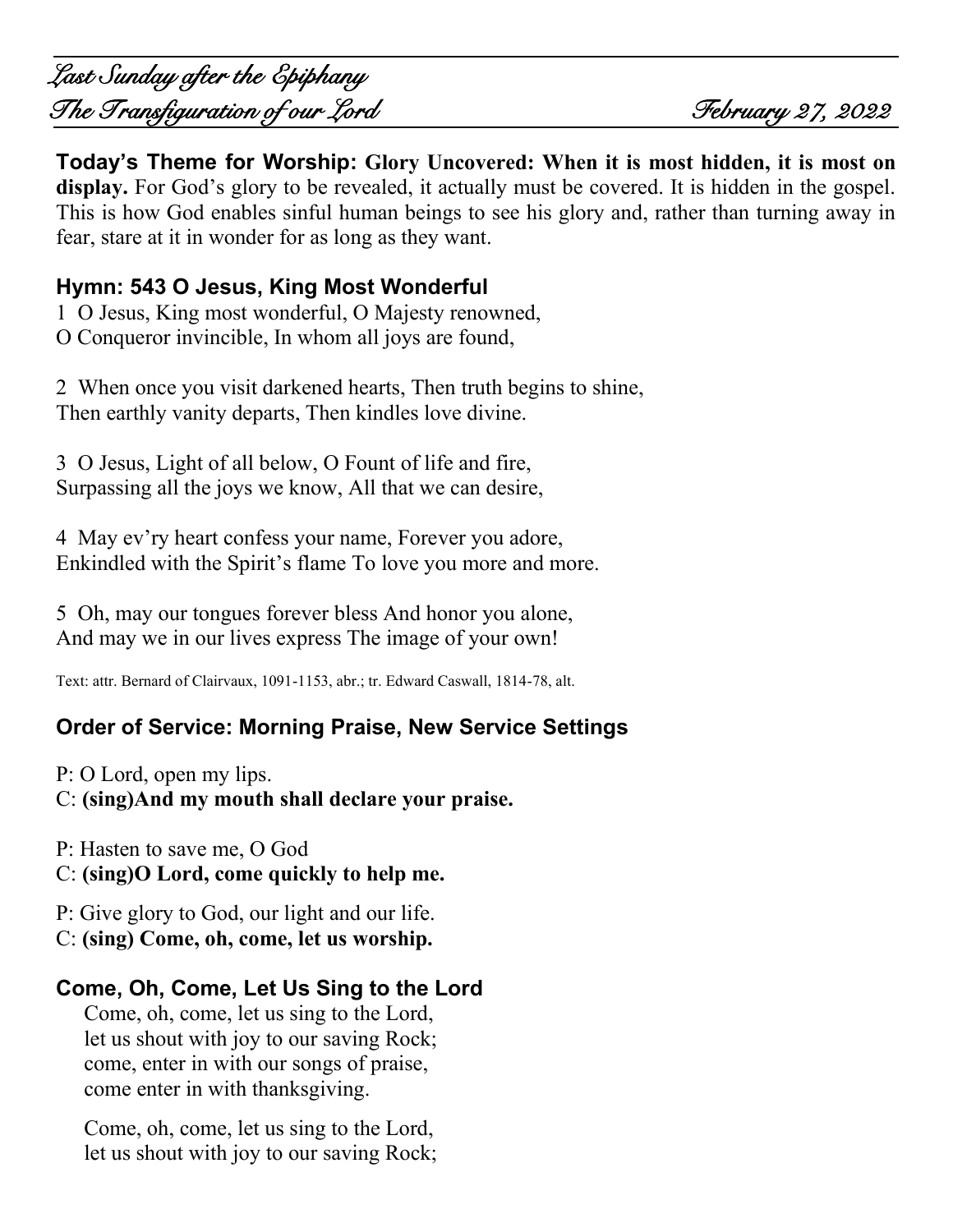**Today's Theme for Worship: Glory Uncovered: When it is most hidden, it is most on**  display. For God's glory to be revealed, it actually must be covered. It is hidden in the gospel. This is how God enables sinful human beings to see his glory and, rather than turning away in fear, stare at it in wonder for as long as they want.

## **Hymn: 543 O Jesus, King Most Wonderful**

1 O Jesus, King most wonderful, O Majesty renowned, O Conqueror invincible, In whom all joys are found,

2 When once you visit darkened hearts, Then truth begins to shine, Then earthly vanity departs, Then kindles love divine.

3 O Jesus, Light of all below, O Fount of life and fire, Surpassing all the joys we know, All that we can desire,

4 May ev'ry heart confess your name, Forever you adore, Enkindled with the Spirit's flame To love you more and more.

5 Oh, may our tongues forever bless And honor you alone, And may we in our lives express The image of your own!

Text: attr. Bernard of Clairvaux, 1091-1153, abr.; tr. Edward Caswall, 1814-78, alt.

## **Order of Service: Morning Praise, New Service Settings**

P: O Lord, open my lips.

C: **(sing)And my mouth shall declare your praise.**

P: Hasten to save me, O God

C: **(sing)O Lord, come quickly to help me.**

P: Give glory to God, our light and our life.

C: **(sing) Come, oh, come, let us worship.**

## **Come, Oh, Come, Let Us Sing to the Lord**

Come, oh, come, let us sing to the Lord, let us shout with joy to our saving Rock; come, enter in with our songs of praise, come enter in with thanksgiving.

Come, oh, come, let us sing to the Lord, let us shout with joy to our saving Rock;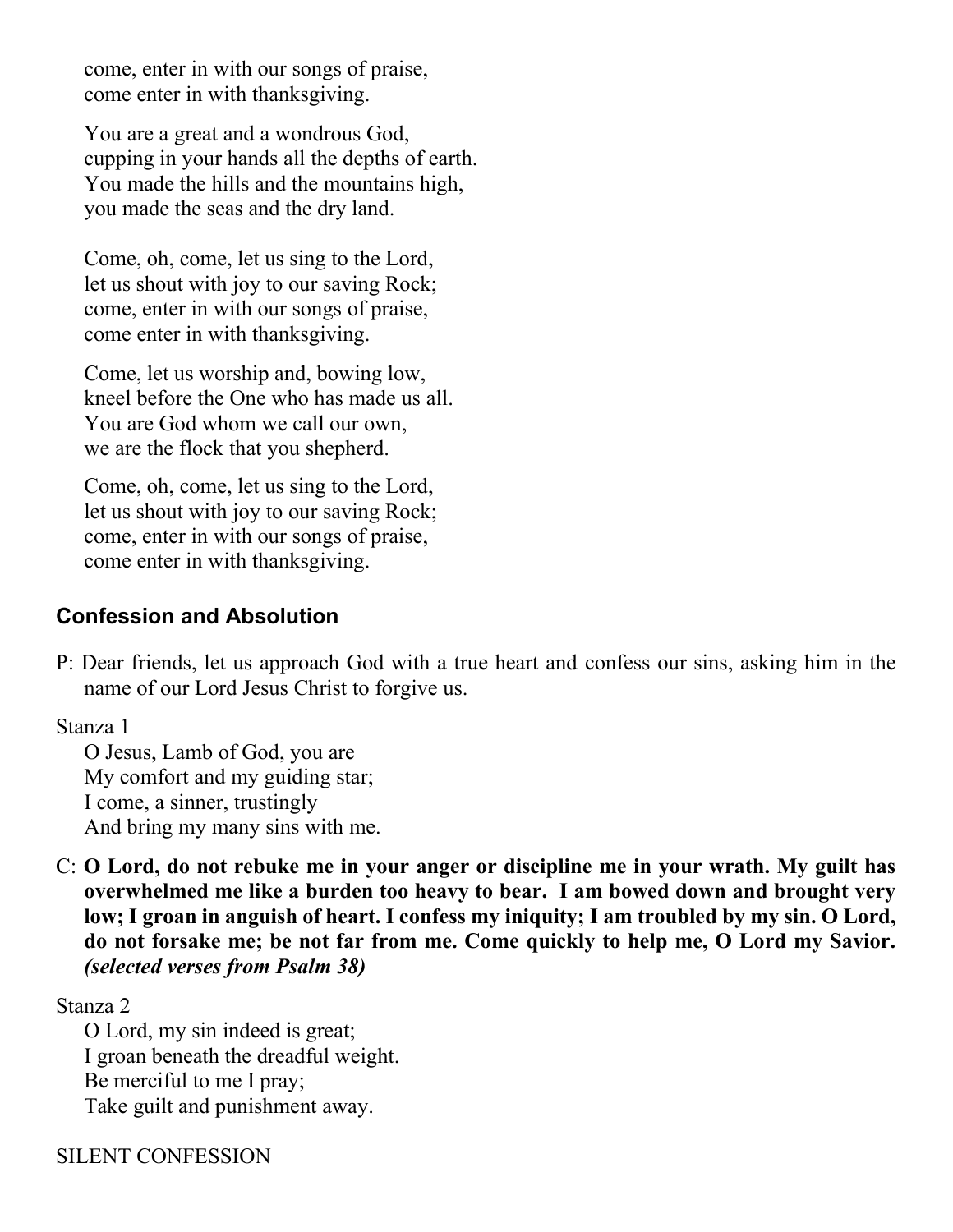come, enter in with our songs of praise, come enter in with thanksgiving.

You are a great and a wondrous God, cupping in your hands all the depths of earth. You made the hills and the mountains high, you made the seas and the dry land.

Come, oh, come, let us sing to the Lord, let us shout with joy to our saving Rock; come, enter in with our songs of praise, come enter in with thanksgiving.

Come, let us worship and, bowing low, kneel before the One who has made us all. You are God whom we call our own, we are the flock that you shepherd.

Come, oh, come, let us sing to the Lord, let us shout with joy to our saving Rock; come, enter in with our songs of praise, come enter in with thanksgiving.

### **Confession and Absolution**

P: Dear friends, let us approach God with a true heart and confess our sins, asking him in the name of our Lord Jesus Christ to forgive us.

Stanza 1

O Jesus, Lamb of God, you are My comfort and my guiding star; I come, a sinner, trustingly And bring my many sins with me.

C: **O Lord, do not rebuke me in your anger or discipline me in your wrath. My guilt has overwhelmed me like a burden too heavy to bear. I am bowed down and brought very low; I groan in anguish of heart. I confess my iniquity; I am troubled by my sin. O Lord, do not forsake me; be not far from me. Come quickly to help me, O Lord my Savior.**  *(selected verses from Psalm 38)*

Stanza 2

O Lord, my sin indeed is great; I groan beneath the dreadful weight. Be merciful to me I pray; Take guilt and punishment away.

SILENT CONFESSION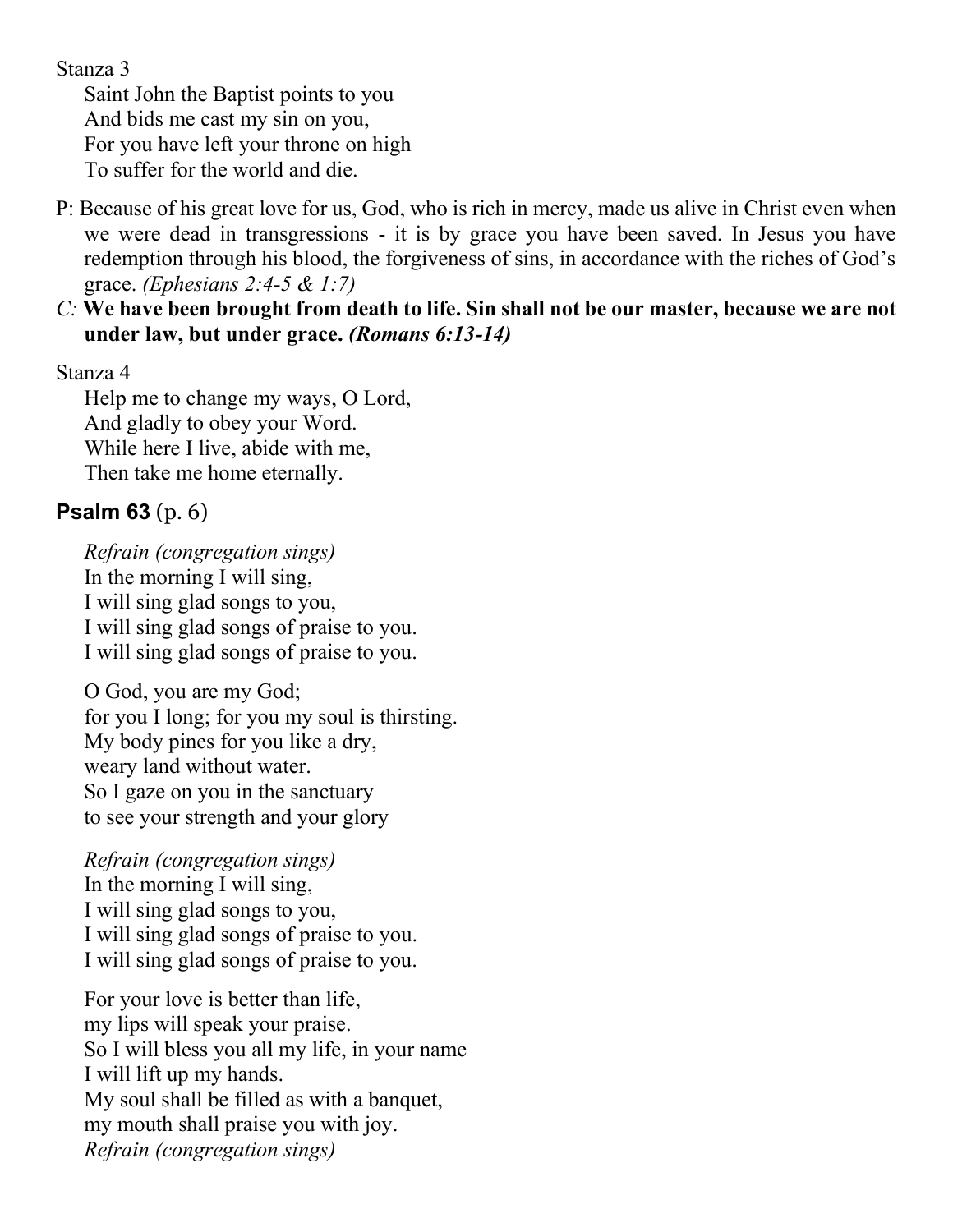Stanza 3

Saint John the Baptist points to you And bids me cast my sin on you, For you have left your throne on high To suffer for the world and die.

- P: Because of his great love for us, God, who is rich in mercy, made us alive in Christ even when we were dead in transgressions - it is by grace you have been saved. In Jesus you have redemption through his blood, the forgiveness of sins, in accordance with the riches of God's grace. *(Ephesians 2:4-5 & 1:7)*
- *C:* **We have been brought from death to life. Sin shall not be our master, because we are not under law, but under grace.** *(Romans 6:13-14)*

#### Stanza 4

Help me to change my ways, O Lord, And gladly to obey your Word. While here I live, abide with me, Then take me home eternally.

# **Psalm 63** (p. 6)

*Refrain (congregation sings)* In the morning I will sing, I will sing glad songs to you, I will sing glad songs of praise to you. I will sing glad songs of praise to you.

O God, you are my God; for you I long; for you my soul is thirsting. My body pines for you like a dry, weary land without water. So I gaze on you in the sanctuary to see your strength and your glory

*Refrain (congregation sings)* In the morning I will sing, I will sing glad songs to you, I will sing glad songs of praise to you. I will sing glad songs of praise to you.

For your love is better than life, my lips will speak your praise. So I will bless you all my life, in your name I will lift up my hands. My soul shall be filled as with a banquet, my mouth shall praise you with joy. *Refrain (congregation sings)*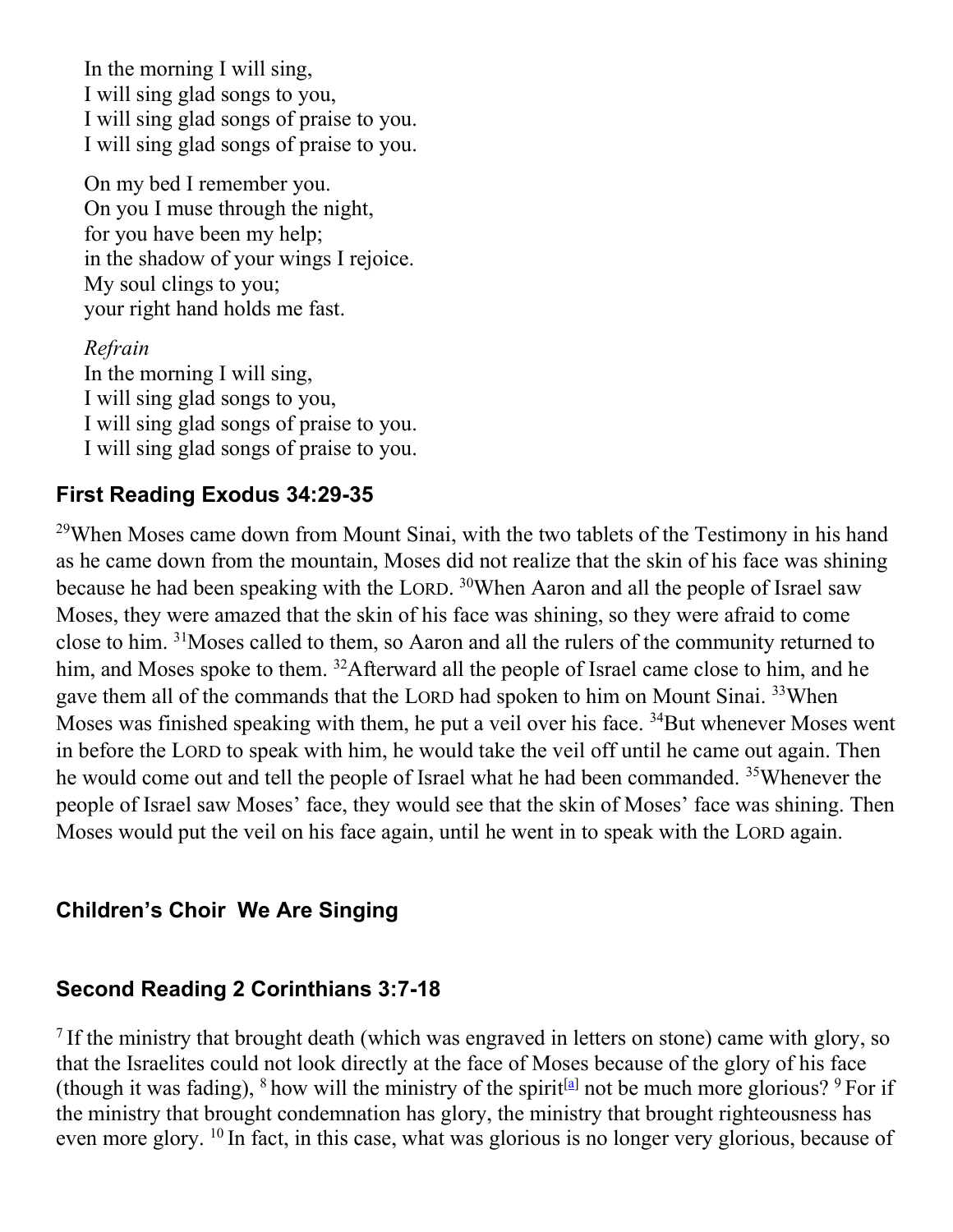In the morning I will sing, I will sing glad songs to you, I will sing glad songs of praise to you. I will sing glad songs of praise to you.

On my bed I remember you. On you I muse through the night, for you have been my help; in the shadow of your wings I rejoice. My soul clings to you; your right hand holds me fast.

*Refrain*

In the morning I will sing, I will sing glad songs to you, I will sing glad songs of praise to you. I will sing glad songs of praise to you.

### **First Reading Exodus 34:29-35**

<sup>29</sup>When Moses came down from Mount Sinai, with the two tablets of the Testimony in his hand as he came down from the mountain, Moses did not realize that the skin of his face was shining because he had been speaking with the LORD. <sup>30</sup>When Aaron and all the people of Israel saw Moses, they were amazed that the skin of his face was shining, so they were afraid to come close to him. <sup>31</sup>Moses called to them, so Aaron and all the rulers of the community returned to him, and Moses spoke to them. <sup>32</sup>Afterward all the people of Israel came close to him, and he gave them all of the commands that the LORD had spoken to him on Mount Sinai. <sup>33</sup>When Moses was finished speaking with them, he put a veil over his face. <sup>34</sup>But whenever Moses went in before the LORD to speak with him, he would take the veil off until he came out again. Then he would come out and tell the people of Israel what he had been commanded. <sup>35</sup>Whenever the people of Israel saw Moses' face, they would see that the skin of Moses' face was shining. Then Moses would put the veil on his face again, until he went in to speak with the LORD again.

### **Children's Choir We Are Singing**

#### **Second Reading 2 Corinthians 3:7-18**

<sup>7</sup> If the ministry that brought death (which was engraved in letters on stone) came with glory, so that the Israelites could not look directly at the face of Moses because of the glory of his face (though it was fading),  $8$  how will the ministry of the spirit<sup>[\[a\]](https://www.biblegateway.com/passage/?search=2+Corinthians+3%3A7-18&version=EHV#fen-EHV-28837a)</sup> not be much more glorious?  $9$  For if the ministry that brought condemnation has glory, the ministry that brought righteousness has even more glory. <sup>10</sup> In fact, in this case, what was glorious is no longer very glorious, because of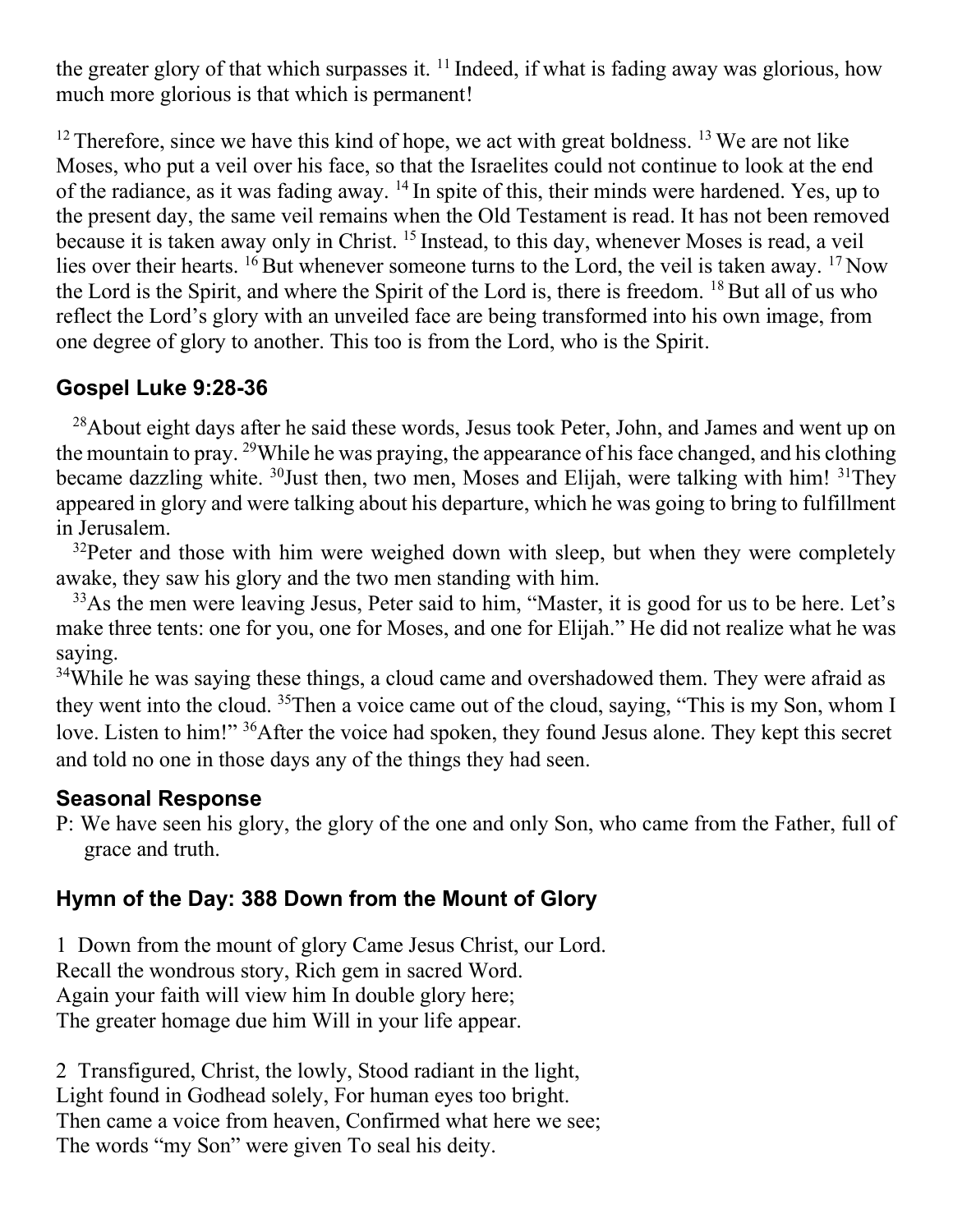the greater glory of that which surpasses it.  $11$  Indeed, if what is fading away was glorious, how much more glorious is that which is permanent!

 $12$  Therefore, since we have this kind of hope, we act with great boldness.  $13$  We are not like Moses, who put a veil over his face, so that the Israelites could not continue to look at the end of the radiance, as it was fading away.  $^{14}$  In spite of this, their minds were hardened. Yes, up to the present day, the same veil remains when the Old Testament is read. It has not been removed because it is taken away only in Christ. <sup>15</sup> Instead, to this day, whenever Moses is read, a veil lies over their hearts. <sup>16</sup> But whenever someone turns to the Lord, the veil is taken away. <sup>17</sup> Now the Lord is the Spirit, and where the Spirit of the Lord is, there is freedom.  $18$  But all of us who reflect the Lord's glory with an unveiled face are being transformed into his own image, from one degree of glory to another. This too is from the Lord, who is the Spirit.

# **Gospel Luke 9:28-36**

 $^{28}$ About eight days after he said these words, Jesus took Peter, John, and James and went up on the mountain to pray. <sup>29</sup>While he was praying, the appearance of his face changed, and his clothing became dazzling white. <sup>30</sup>Just then, two men, Moses and Elijah, were talking with him! <sup>31</sup>They appeared in glory and were talking about his departure, which he was going to bring to fulfillment in Jerusalem.

 $32$ Peter and those with him were weighed down with sleep, but when they were completely awake, they saw his glory and the two men standing with him.

<sup>33</sup>As the men were leaving Jesus, Peter said to him, "Master, it is good for us to be here. Let's make three tents: one for you, one for Moses, and one for Elijah." He did not realize what he was saying.

<sup>34</sup>While he was saying these things, a cloud came and overshadowed them. They were afraid as they went into the cloud. <sup>35</sup>Then a voice came out of the cloud, saying, "This is my Son, whom I love. Listen to him!" <sup>36</sup>After the voice had spoken, they found Jesus alone. They kept this secret and told no one in those days any of the things they had seen.

### **Seasonal Response**

P: We have seen his glory, the glory of the one and only Son, who came from the Father, full of grace and truth.

## **Hymn of the Day: 388 Down from the Mount of Glory**

1 Down from the mount of glory Came Jesus Christ, our Lord. Recall the wondrous story, Rich gem in sacred Word. Again your faith will view him In double glory here; The greater homage due him Will in your life appear.

2 Transfigured, Christ, the lowly, Stood radiant in the light, Light found in Godhead solely, For human eyes too bright. Then came a voice from heaven, Confirmed what here we see; The words "my Son" were given To seal his deity.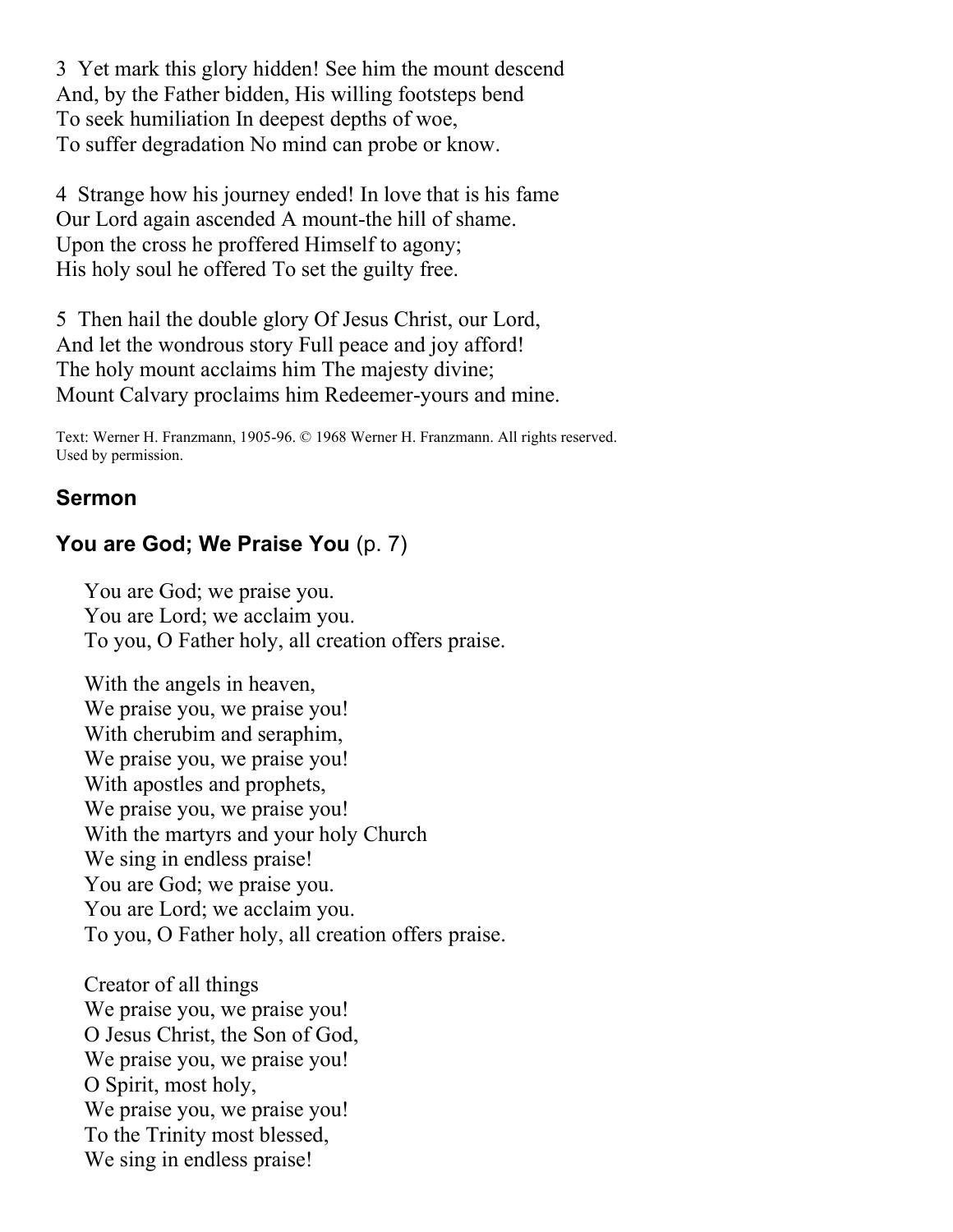3 Yet mark this glory hidden! See him the mount descend And, by the Father bidden, His willing footsteps bend To seek humiliation In deepest depths of woe, To suffer degradation No mind can probe or know.

4 Strange how his journey ended! In love that is his fame Our Lord again ascended A mount-the hill of shame. Upon the cross he proffered Himself to agony; His holy soul he offered To set the guilty free.

5 Then hail the double glory Of Jesus Christ, our Lord, And let the wondrous story Full peace and joy afford! The holy mount acclaims him The majesty divine; Mount Calvary proclaims him Redeemer-yours and mine.

Text: Werner H. Franzmann, 1905-96. © 1968 Werner H. Franzmann. All rights reserved. Used by permission.

### **Sermon**

# **You are God; We Praise You** (p. 7)

You are God; we praise you. You are Lord; we acclaim you. To you, O Father holy, all creation offers praise.

With the angels in heaven, We praise you, we praise you! With cherubim and seraphim, We praise you, we praise you! With apostles and prophets, We praise you, we praise you! With the martyrs and your holy Church We sing in endless praise! You are God; we praise you. You are Lord; we acclaim you. To you, O Father holy, all creation offers praise.

Creator of all things We praise you, we praise you! O Jesus Christ, the Son of God, We praise you, we praise you! O Spirit, most holy, We praise you, we praise you! To the Trinity most blessed, We sing in endless praise!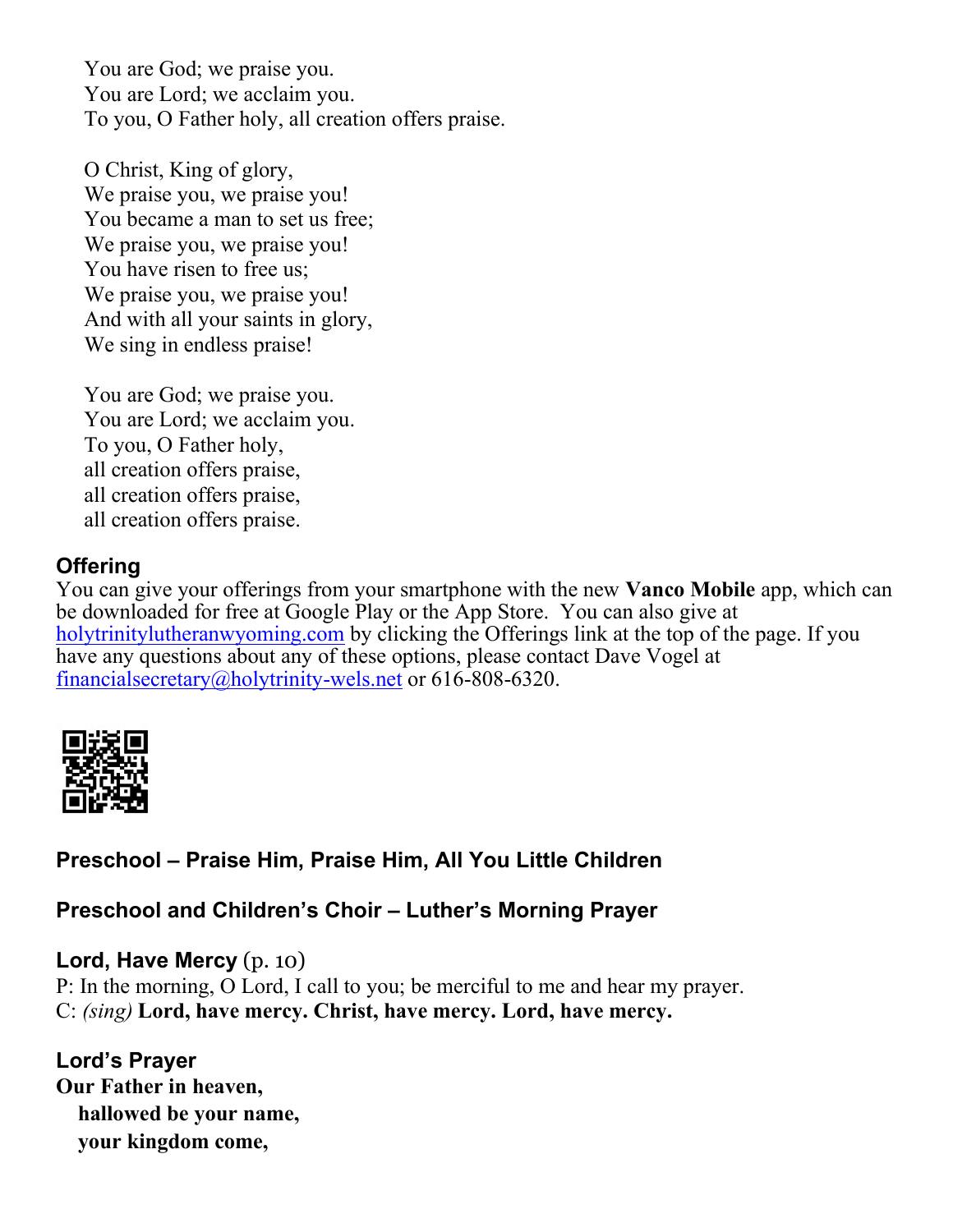You are God; we praise you. You are Lord; we acclaim you. To you, O Father holy, all creation offers praise.

O Christ, King of glory, We praise you, we praise you! You became a man to set us free; We praise you, we praise you! You have risen to free us; We praise you, we praise you! And with all your saints in glory, We sing in endless praise!

You are God; we praise you. You are Lord; we acclaim you. To you, O Father holy, all creation offers praise, all creation offers praise, all creation offers praise.

## **Offering**

You can give your offerings from your smartphone with the new **Vanco Mobile** app, which can be downloaded for free at Google Play or the App Store. You can also give at [holytrinitylutheranwyoming.com](http://holytrinitylutheranwyoming.com/) by clicking the Offerings link at the top of the page. If you have any questions about any of these options, please contact Dave Vogel at [financialsecretary@holytrinity-wels.net](mailto:financialsecretary@holytrinity-wels.net) or 616-808-6320.



# **Preschool – Praise Him, Praise Him, All You Little Children**

## **Preschool and Children's Choir – Luther's Morning Prayer**

### **Lord, Have Mercy** (p. 10)

P: In the morning, O Lord, I call to you; be merciful to me and hear my prayer. C: *(sing)* **Lord, have mercy. Christ, have mercy. Lord, have mercy.**

## **Lord's Prayer**

**Our Father in heaven, hallowed be your name, your kingdom come,**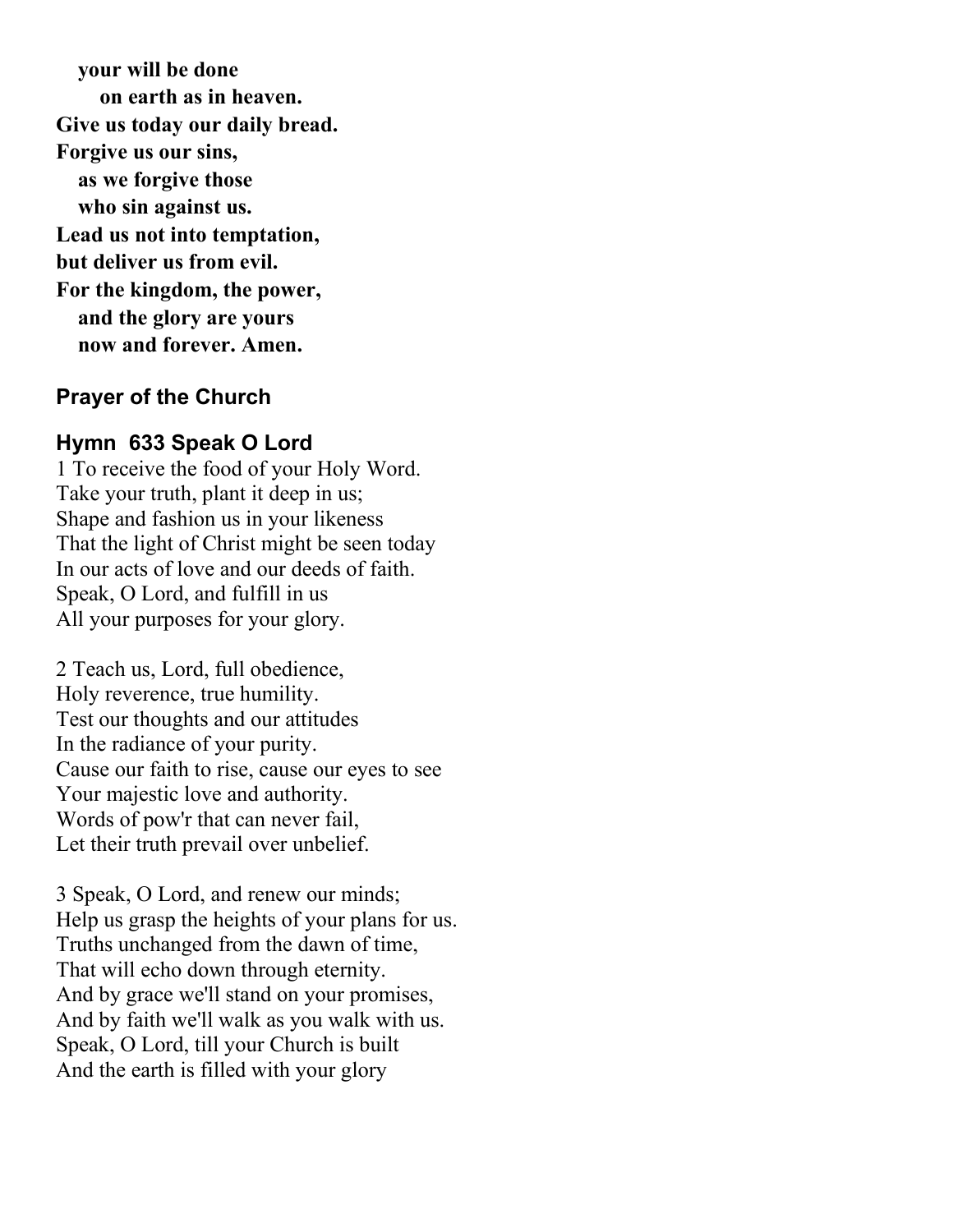**your will be done on earth as in heaven. Give us today our daily bread. Forgive us our sins, as we forgive those who sin against us. Lead us not into temptation, but deliver us from evil. For the kingdom, the power, and the glory are yours now and forever. Amen.**

#### **Prayer of the Church**

#### **Hymn 633 Speak O Lord**

1 To receive the food of your Holy Word. Take your truth, plant it deep in us; Shape and fashion us in your likeness That the light of Christ might be seen today In our acts of love and our deeds of faith. Speak, O Lord, and fulfill in us All your purposes for your glory.

2 Teach us, Lord, full obedience, Holy reverence, true humility. Test our thoughts and our attitudes In the radiance of your purity. Cause our faith to rise, cause our eyes to see Your majestic love and authority. Words of pow'r that can never fail, Let their truth prevail over unbelief.

3 Speak, O Lord, and renew our minds; Help us grasp the heights of your plans for us. Truths unchanged from the dawn of time, That will echo down through eternity. And by grace we'll stand on your promises, And by faith we'll walk as you walk with us. Speak, O Lord, till your Church is built And the earth is filled with your glory